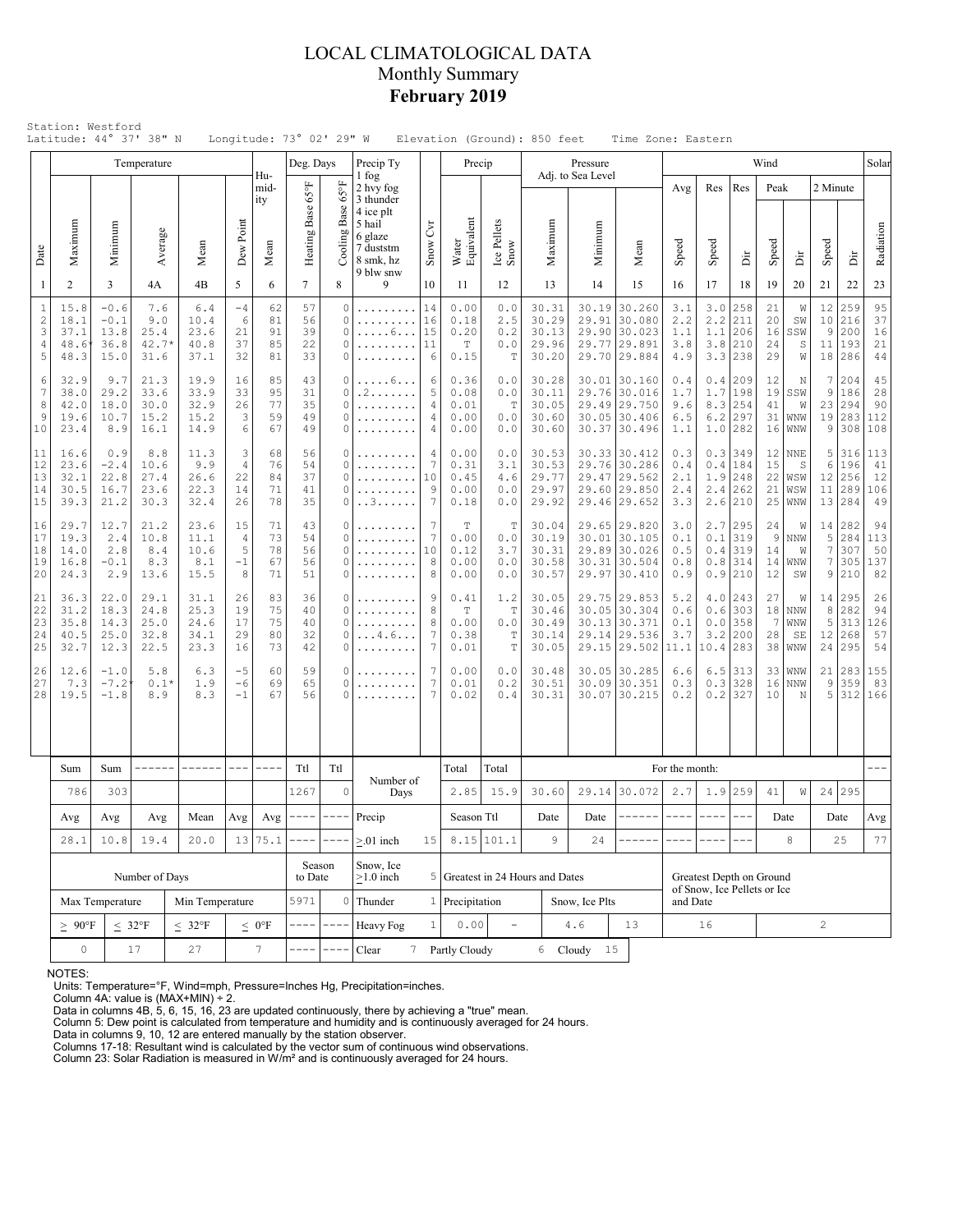## LOCAL CLIMATOLOGICAL DATA Monthly Summary **February 2019**

|                                           |                                                             |                                                                                                                                                | Temperature                          |                                      |                                        |                            | Deg. Days                           |                                                             | Precip Ty                                                                                                |                                     | Precip                                      |                                 |                                                                        | Pressure                        |                                                                              |                                        |                                 |                                                 | Wind                       |                                   |                                       |                                 | Solar                        |
|-------------------------------------------|-------------------------------------------------------------|------------------------------------------------------------------------------------------------------------------------------------------------|--------------------------------------|--------------------------------------|----------------------------------------|----------------------------|-------------------------------------|-------------------------------------------------------------|----------------------------------------------------------------------------------------------------------|-------------------------------------|---------------------------------------------|---------------------------------|------------------------------------------------------------------------|---------------------------------|------------------------------------------------------------------------------|----------------------------------------|---------------------------------|-------------------------------------------------|----------------------------|-----------------------------------|---------------------------------------|---------------------------------|------------------------------|
| Date                                      | Maximum                                                     | Minimum                                                                                                                                        | Average                              | Mean                                 | Dew Point                              | Hu-<br>mid-<br>ity<br>Mean | $_{\rm 5^{\circ}S}$<br>Heating Base | $65^{\circ}$ F<br>Base<br>Cooling 1                         | 1 fog<br>2 hvy fog<br>3 thunder<br>4 ice plt<br>5 hail<br>6 glaze<br>7 duststm<br>8 smk, hz<br>9 blw snw | $\mathcal{E}$<br>Snow               | Water<br>Equivalent                         | Ice Pellets<br>Snow             | Maximum                                                                | Adj. to Sea Level<br>Minimum    | Mean                                                                         | Avg<br>Speed                           | Res<br>Speed                    | Res<br>ä                                        | Peak<br>Speed              | ă                                 | 2 Minute<br>Speed                     | Ä                               | Radiation                    |
| 1                                         | $\overline{2}$                                              | 3                                                                                                                                              | 4A                                   | 4B                                   | 5                                      | 6                          | $\tau$                              | 8                                                           | 9                                                                                                        | 10                                  | 11                                          | 12                              | 13                                                                     | 14                              | 15                                                                           | 16                                     | 17                              | 18                                              | 19                         | 20                                | 21                                    | 22                              | 23                           |
| $\mathbf{1}$<br>$\sqrt{2}$<br>3<br>4<br>5 | 15.8<br>18.1<br>37.1<br>48.6<br>48.3                        | $-0.6$<br>$-0.1$<br>13.8<br>36.8<br>15.0                                                                                                       | 7.6<br>9.0<br>25.4<br>42.7*<br>31.6  | 6.4<br>10.4<br>23.6<br>40.8<br>37.1  | $-4$<br>6<br>21<br>37<br>32            | 62<br>81<br>91<br>85<br>81 | 57<br>56<br>39<br>22<br>33          | $\circ$<br>0<br>$\circ$<br>$\circ$<br>0                     | .<br>.<br>6                                                                                              | 14<br>16<br>15<br>11<br>6           | 0.00<br>0.18<br>0.20<br>T<br>0.15           | 0.0<br>2.5<br>0.2<br>0.0<br>T   | 30.31<br>30.29<br>30.13<br>29.96<br>30.20                              | 30.19<br>29.91<br>29.77         | 30.260<br>30.080<br>29.90 30.023<br>29.891<br>29.70 29.884                   | 3.1<br>2.2<br>1.1<br>3.8<br>4.9        | 3.0<br>2.2<br>1.1<br>3.8<br>3.3 | 258<br>211<br>206<br>210<br>238                 | 21<br>20<br>16<br>24<br>29 | W<br>SW<br>SSW<br>S<br>W          | 12<br>10<br>9<br>11<br>18             | 259<br>216<br>200<br>193<br>286 | 95<br>37<br>16<br>21<br>44   |
| 6<br>$\overline{7}$<br>8<br>9<br>10       | 32.9<br>38.0<br>42.0<br>19.6<br>23.4                        | 9.7<br>19.9<br>16<br>21.3<br>29.2<br>33.6<br>33.9<br>33<br>18.0<br>30.0<br>32.9<br>26<br>3<br>10.7<br>15.2<br>15.2<br>8.9<br>16.1<br>14.9<br>6 |                                      | 85<br>95<br>77<br>59<br>67           | 43<br>31<br>35<br>49<br>49             | 0<br>0<br>0<br>0<br>0      | . 6<br>. 2<br>.<br>.                | 6<br>5<br>4<br>$\overline{4}$<br>$\overline{4}$             | 0.36<br>0.08<br>0.01<br>0.00<br>0.00                                                                     | 0.0<br>0.0<br>T<br>0.0<br>0.0       | 30.28<br>30.11<br>30.05<br>30.60<br>30.60   | 30.37                           | 30.01 30.160<br>29.76 30.016<br>29.49 29.750<br>30.05 30.406<br>30.496 | 0.4<br>1.7<br>9.6<br>6.5<br>1.1 | 0.4<br>1.7<br>8.3<br>6.2                                                     | 209<br>198<br>254<br>297<br>$1.0$  282 | 12<br>41<br>31<br>16            | Ν<br>$19$ SSW<br>W<br>WNW<br>WNW                | 7<br>9<br>23<br>19<br>9    | 204<br>186<br>294<br>283<br>308   | 45<br>28<br>90<br>112<br>108          |                                 |                              |
| 11<br>12<br>13<br>14<br>15                | 16.6<br>23.6<br>32.1<br>30.5<br>39.3                        | 0.9<br>$-2.4$<br>22.8<br>16.7<br>21.2                                                                                                          | 8.8<br>10.6<br>27.4<br>23.6<br>30.3  | 11.3<br>9.9<br>26.6<br>22.3<br>32.4  | 3<br>4<br>22<br>14<br>26               | 68<br>76<br>84<br>71<br>78 | 56<br>54<br>37<br>41<br>35          | 0<br>0<br>0<br>0<br>0                                       | .<br>. . 3                                                                                               | $\overline{4}$<br>7<br>10<br>9<br>7 | 0.00<br>0.31<br>0.45<br>0.00<br>0.18        | 0.0<br>3.1<br>4.6<br>0.0<br>0.0 | 30.53<br>30.53<br>29.77<br>29.97<br>29.92                              |                                 | 30.33 30.412<br>29.76 30.286<br>29.47 29.562<br>29.60 29.850<br>29.46 29.652 | 0.3<br>0.4<br>2.1<br>2.4<br>3.3        | 0.4<br>1.9<br>2.4<br>2.6        | $0.3$ 349<br>184<br>248<br>262<br>210           | 12<br>15<br>22<br>21<br>25 | NNE<br>S<br>WSW<br>WSW<br>WNW     | 5<br>6<br>12<br>11<br>13              | 316<br>196<br>256<br>289<br>284 | 113<br>41<br>12<br>106<br>49 |
| 16<br>17<br>18<br>19<br>20                | 29.7<br>19.3<br>14.0<br>16.8<br>24.3                        | 12.7<br>2.4<br>2.8<br>$-0.1$<br>2.9                                                                                                            | 21.2<br>10.8<br>8.4<br>8.3<br>13.6   | 23.6<br>11.1<br>10.6<br>8.1<br>15.5  | 15<br>$\overline{4}$<br>5<br>$-1$<br>8 | 71<br>73<br>78<br>67<br>71 | 43<br>54<br>56<br>56<br>51          | 0<br>$\circ$<br>0<br>0<br>0                                 | .                                                                                                        | 7<br>7<br>10<br>8<br>8              | T<br>0.00<br>0.12<br>0.00<br>0.00           | T<br>0.0<br>3.7<br>0.0<br>0.0   | 30.04<br>30.19<br>30.31<br>30.58<br>30.57                              | 30.31<br>29.97                  | 29.65 29.820<br>30.01 30.105<br>29.89 30.026<br>30.504<br>30.410             | 3.0<br>0.1<br>0.5<br>0.8<br>0.9        | 0.1<br>0.4<br>0.8               | $2.7$   295<br>319<br>319<br>314<br>0.9 210     | 24<br>-9<br>14<br>14<br>12 | W<br><b>NNW</b><br>W<br>WNW<br>SW | 14<br>5<br>$\boldsymbol{7}$<br>7<br>9 | 282<br>284<br>307<br>305<br>210 | 94<br>113<br>50<br>137<br>82 |
| 21<br>22<br>23<br>24<br>25                | 36.3<br>31.2<br>35.8<br>40.5<br>32.7                        | 22.0<br>18.3<br>14.3<br>25.0<br>12.3                                                                                                           | 29.1<br>24.8<br>25.0<br>32.8<br>22.5 | 31.1<br>25.3<br>24.6<br>34.1<br>23.3 | 26<br>19<br>17<br>29<br>16             | 83<br>75<br>75<br>80<br>73 | 36<br>40<br>40<br>32<br>42          | 0<br>$\Omega$<br>$\circ$<br>0<br>0                          | . 4 . 6<br>.                                                                                             | 9<br>8<br>8<br>7<br>7               | 0.41<br>$\mathbb T$<br>0.00<br>0.38<br>0.01 | 1.2<br>T<br>0.0<br>Т<br>T       | 30.05<br>30.46<br>30.49<br>30.14<br>30.05                              | 29.14                           | 29.75 29.853<br>30.05 30.304<br>30.13 30.371<br>29.536<br>29.15 29.502       | 5.2<br>0.6<br>0.1<br>3.7<br>11.1       | 0.6<br>0.0<br>3.2               | $4.0$  243<br>303<br>358<br>200<br>$10.4$   283 | 27<br>7<br>28<br>38        | W<br>$18$ NNW<br>WNW<br>SE<br>WNW | 14 <br>8<br>5<br>12<br>24             | 295<br>282<br>313<br>268<br>295 | 26<br>94<br>126<br>57<br>54  |
| 26<br>27<br>28                            | 12.6<br>7.3<br>19.5                                         | $-1.0$<br>$-7.2$<br>$-1.8$                                                                                                                     | 5.8<br>$0.1*$<br>8.9                 | 6.3<br>1.9<br>8.3                    | $-5$<br>-6<br>$-1$                     | 60<br>69<br>67             | 59<br>65<br>56                      | 0<br>0<br>C                                                 |                                                                                                          | 7<br>7                              | 0.00<br>0.01<br>0.02                        | 0.0<br>0.2<br>0.4               | 30.48<br>30.51<br>30.31                                                | 30.09<br>30.07                  | 30.05 30.285<br>30.351<br>30.215                                             | 6.6<br>0.3<br>0.2                      | 6.5<br>0.3                      | 313<br>328<br>$0.2$ 327                         | 16<br>10                   | 33   WNW<br>NNW<br>N              | 21<br>9<br>5                          | 283<br>359<br>312               | 155<br>83<br>166             |
|                                           | Sum                                                         |                                                                                                                                                |                                      |                                      | $\frac{1}{2}$                          | $- - - -$                  | Ttl                                 | Ttl                                                         |                                                                                                          |                                     | Total                                       | Total                           |                                                                        |                                 |                                                                              | For the month:                         |                                 |                                                 |                            |                                   |                                       |                                 |                              |
|                                           | 786                                                         | ------<br>$\begin{tabular}{ccccc} - & - & - & - \\ \hline \end{tabular}$<br>Sum<br>303                                                         |                                      |                                      |                                        | 1267                       | $\circ$                             | Number of<br>Days                                           |                                                                                                          | 2.85                                | 15.9                                        | 30.60                           |                                                                        | 29.14 30.072                    | 2.7                                                                          | 1.9                                    | 259                             | 41                                              | W                          | 24                                | 295                                   |                                 |                              |
|                                           | Avg                                                         | Avg                                                                                                                                            | Avg                                  | Mean                                 | Avg                                    | Avg                        | ----                                | $\rightarrow$ $\rightarrow$ $\rightarrow$ $\rightarrow$     | Precip                                                                                                   |                                     | Season Ttl                                  |                                 | Date                                                                   | Date                            | ------                                                                       | $---$                                  | $- - - -$                       | $- - -$                                         |                            | Date                              |                                       | Date                            | Avg                          |
|                                           | 28.1<br>10.8<br>19.4<br>20.0                                |                                                                                                                                                |                                      |                                      |                                        | 13 75.1                    |                                     |                                                             | $> 01$ inch                                                                                              | 15                                  |                                             | 8.15 101.1                      | 9                                                                      | 24                              |                                                                              |                                        |                                 |                                                 |                            | 8                                 |                                       | 25                              | 77                           |
|                                           |                                                             | Number of Days                                                                                                                                 |                                      |                                      | Season<br>to Date                      |                            | Snow, Ice<br>$\geq$ 1.0 inch        |                                                             |                                                                                                          | 5 Greatest in 24 Hours and Dates    |                                             |                                 |                                                                        |                                 | Greatest Depth on Ground                                                     |                                        |                                 |                                                 |                            |                                   |                                       |                                 |                              |
|                                           |                                                             | Max Temperature                                                                                                                                |                                      | Min Temperature                      |                                        |                            | 5971                                | $\mathbf 0$                                                 | Thunder                                                                                                  |                                     | 1 Precipitation                             |                                 | Snow, Ice Plts                                                         |                                 |                                                                              | and Date                               | of Snow, Ice Pellets or Ice     |                                                 |                            |                                   |                                       |                                 |                              |
|                                           | $\geq~90^{\circ}F$<br>$\leq 32^{\circ}F$<br>$< 32^{\circ}F$ |                                                                                                                                                |                                      |                                      |                                        | $\leq 0$ °F                |                                     | $\qquad \qquad - - -$                                       | Heavy Fog                                                                                                | $\mathbf{1}$                        | 0.00                                        | $\equiv$                        |                                                                        | 4.6                             | 13                                                                           | 16                                     |                                 |                                                 | $\overline{c}$             |                                   |                                       |                                 |                              |
|                                           | $\mathsf{O}$<br>17<br>27                                    |                                                                                                                                                |                                      |                                      |                                        | $7\phantom{.}$             |                                     | $7\overline{ }$<br>Partly Cloudy<br>6 Cloudy<br>15<br>Clear |                                                                                                          |                                     |                                             |                                 |                                                                        |                                 |                                                                              |                                        |                                 |                                                 |                            |                                   |                                       |                                 |                              |

NOTES:

Units: Temperature=°F, Wind=mph, Pressure=Inches Hg, Precipitation=inches. Column 4A: value is (MAX+MIN) ÷ 2. Data in columns 4B, 5, 6, 15, 16, 23 are updated continuously, there by achieving a "true" mean.

Column 5: Dew point is calculated from temperature and humidity and is continuously averaged for 24 hours. Data in columns 9, 10, 12 are entered manually by the station observer.

Columns 17-18: Resultant wind is calculated by the vector sum of continuous wind observations. Column 23: Solar Radiation is measured in W/m² and is continuously averaged for 24 hours.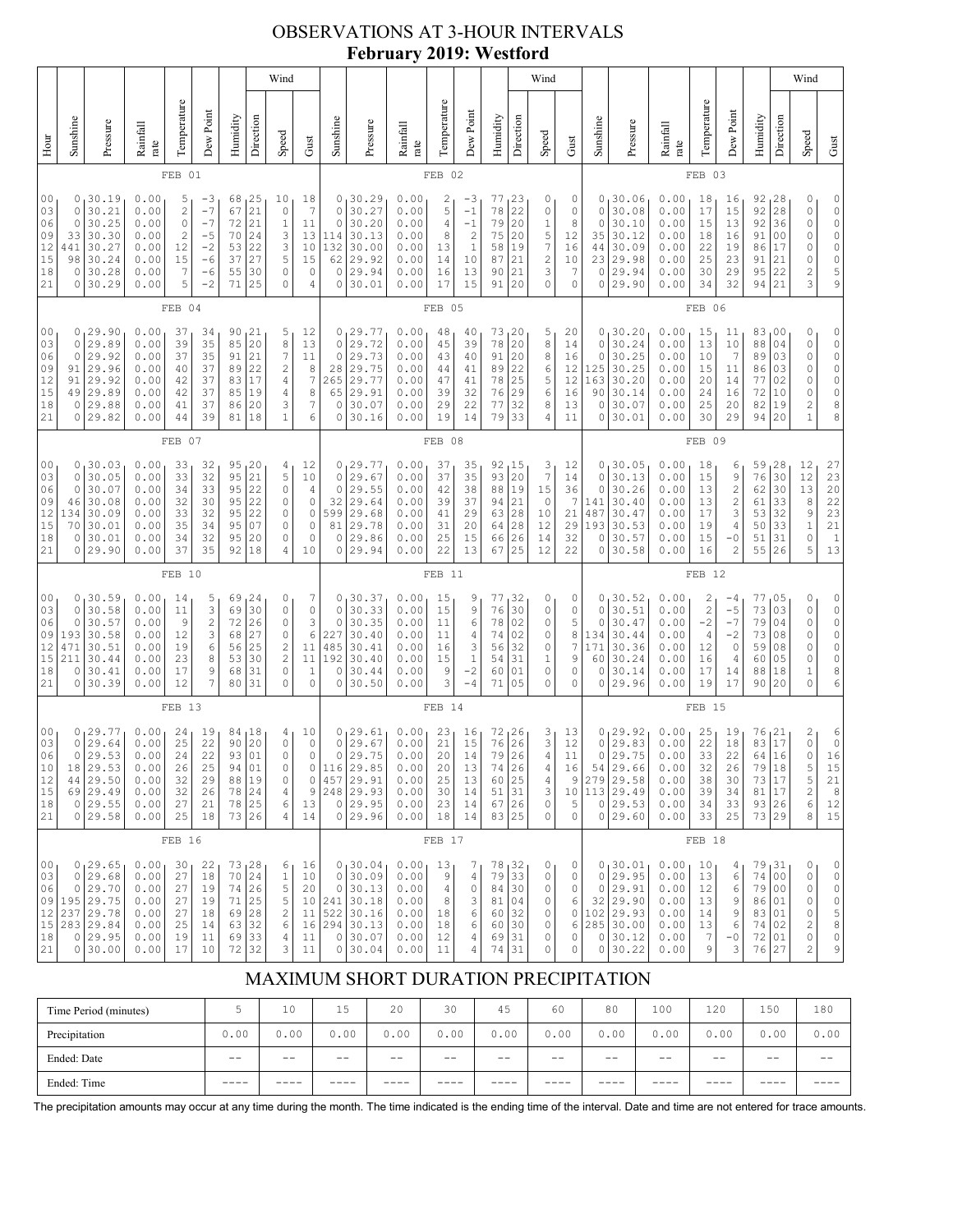## OBSERVATIONS AT 3-HOUR INTERVALS **February 2019: Westford**

| Wind                                                                                                                                                                                                                                                                                                                                                                                                                                                                                                                                                                                                               |                                                 |                                                                                   |                                                              |                                              |                                               |                                              |                                                               |                                                                                               |                                                                                |                                                                   |                                                                                       |                                                              |                                              |                                                                                                   |                                                 | Wind                                                      |                                                                         |                                                              |                                              |                                                                                              |                                                              |                                                                   |                                                             |                                                                    | Wind                                   |                                                                       |                                                                                                             |
|--------------------------------------------------------------------------------------------------------------------------------------------------------------------------------------------------------------------------------------------------------------------------------------------------------------------------------------------------------------------------------------------------------------------------------------------------------------------------------------------------------------------------------------------------------------------------------------------------------------------|-------------------------------------------------|-----------------------------------------------------------------------------------|--------------------------------------------------------------|----------------------------------------------|-----------------------------------------------|----------------------------------------------|---------------------------------------------------------------|-----------------------------------------------------------------------------------------------|--------------------------------------------------------------------------------|-------------------------------------------------------------------|---------------------------------------------------------------------------------------|--------------------------------------------------------------|----------------------------------------------|---------------------------------------------------------------------------------------------------|-------------------------------------------------|-----------------------------------------------------------|-------------------------------------------------------------------------|--------------------------------------------------------------|----------------------------------------------|----------------------------------------------------------------------------------------------|--------------------------------------------------------------|-------------------------------------------------------------------|-------------------------------------------------------------|--------------------------------------------------------------------|----------------------------------------|-----------------------------------------------------------------------|-------------------------------------------------------------------------------------------------------------|
| Hour                                                                                                                                                                                                                                                                                                                                                                                                                                                                                                                                                                                                               | Sunshine                                        | Pressure                                                                          | Rainfall<br>rate                                             | Temperature                                  | Dew Point                                     | Humidity                                     | Direction                                                     | Speed                                                                                         | Gust                                                                           | Sunshine                                                          | Pressure                                                                              | Rainfall<br>rate                                             | Temperature                                  | Dew Point                                                                                         | Humidity                                        | Direction                                                 | Speed                                                                   | Gust                                                         | Sunshine                                     | Pressure                                                                                     | Rainfall<br>rate                                             | Temperature                                                       | Dew Point                                                   | Humidity                                                           | Direction                              | Speed                                                                 | Gust                                                                                                        |
|                                                                                                                                                                                                                                                                                                                                                                                                                                                                                                                                                                                                                    |                                                 |                                                                                   |                                                              | FEB                                          | 01                                            |                                              |                                                               |                                                                                               |                                                                                |                                                                   |                                                                                       |                                                              | FEB 02                                       |                                                                                                   |                                                 |                                                           |                                                                         |                                                              |                                              |                                                                                              |                                                              | FEB 03                                                            |                                                             |                                                                    |                                        |                                                                       |                                                                                                             |
| 00<br>0<br>30.19<br>0.00<br>18<br>5<br>68<br>25<br>10<br>-3<br>$\sqrt{2}$<br>$-7$<br>21<br>$\overline{7}$<br>03<br>0<br>30.21<br>0.00<br>$\circ$<br>67<br>30.25<br>0.00<br>$\mathbb O$<br>$-7$<br>21<br>$\mathbf 1$<br>06<br>0<br>72<br>11<br>30.30<br>$\overline{c}$<br>24<br>3<br>09<br>33<br>0.00<br>$-5$<br>70<br>13<br>3<br>12<br>$-2$<br>10<br>441<br>30.27<br>0.00<br>12<br>53<br>22<br>15<br>30.24<br>37<br>27<br>5<br>15<br>98<br>0.00<br>15<br>$-6$<br>7<br>18<br>0<br>30.28<br>0.00<br>$-6$<br>30<br>0<br>$\mathbf 0$<br>55<br>5<br>21<br>$-2$<br>71<br>0<br>0<br>30.29<br>0.00<br>25<br>$\overline{4}$ |                                                 |                                                                                   |                                                              |                                              |                                               |                                              | 0<br>$\circ$<br>$\circ$<br>114<br>132<br>62<br>$\circ$<br>0   | 30.29<br>30.27<br>30.20<br>30.13<br>30.00<br>29.92<br>29.94<br>30.01                          | 0.00<br>0.00<br>0.00<br>0.00<br>0.00<br>0.00<br>0.00<br>0.00                   | 2<br>5<br>4<br>8<br>13<br>14<br>16<br>17                          | $-3$<br>$-1$<br>$-1$<br>$\overline{c}$<br>$\mathbf{1}$<br>10<br>13<br>15              | 77<br>78<br>79<br>75<br>58<br>87<br>90<br>91                 | 23<br>22<br>20<br>20<br>19<br>21<br>21<br>20 | 0<br>0<br>1<br>5<br>7<br>$\overline{\mathbf{c}}$<br>3<br>0                                        | 0<br>$\circ$<br>8<br>12<br>16<br>10<br>7<br>0   | 0<br>0<br>0<br>35<br>44<br>0<br>0                         | 30.06<br>30.08<br>30.10<br>30.12<br>30.09<br>23 29.98<br>29.94<br>29.90 | 0.00<br>0.00<br>0.00<br>0.00<br>0.00<br>0.00<br>0.00<br>0.00 | 18<br>17<br>15<br>18<br>22<br>25<br>30<br>34 | 16<br>15<br>13<br>16<br>19<br>23<br>29<br>32                                                 | 92, 28<br>92<br>92<br>91<br>86<br>91<br>95<br>94             | 28<br>36<br>0 <sub>0</sub><br>17<br>21<br>22<br>21                | 0<br>0<br>0<br>0<br>0<br>0<br>$\overline{\mathbf{c}}$<br>3  | 0<br>0<br>0<br>0<br>0<br>0<br>5<br>9                               |                                        |                                                                       |                                                                                                             |
|                                                                                                                                                                                                                                                                                                                                                                                                                                                                                                                                                                                                                    |                                                 |                                                                                   |                                                              | FEB                                          | 04                                            |                                              |                                                               |                                                                                               |                                                                                |                                                                   |                                                                                       |                                                              | FEB 05                                       |                                                                                                   |                                                 |                                                           |                                                                         |                                                              |                                              |                                                                                              |                                                              | FEB 06                                                            |                                                             |                                                                    |                                        |                                                                       |                                                                                                             |
| 00<br>03<br>06<br>09<br>12<br>15<br>18<br>21                                                                                                                                                                                                                                                                                                                                                                                                                                                                                                                                                                       | 0<br>$\mathbf 0$<br>91<br>91<br>49<br>0<br>0    | 0, 29.90<br>29.89<br>29.92<br>29.96<br>29.92<br>29.89<br>29.88<br>29.82           | 0.00<br>0.00<br>0.00<br>0.00<br>0.00<br>0.00<br>0.00<br>0.00 | 37<br>39<br>37<br>40<br>42<br>42<br>41<br>44 | 34<br>35<br>35<br>37<br>37<br>37<br>37<br>39  | 90<br>85<br>91<br>89<br>83<br>85<br>86<br>81 | 21<br>20<br>21<br>22<br>17<br>19<br>20<br>18                  | 5<br>$\,$ 8 $\,$<br>7<br>$\overline{c}$<br>4<br>4<br>3<br>$\mathbf{1}$                        | 12<br>13<br>11<br>8<br>7<br>8<br>7<br>6                                        | 0<br>$\circ$<br>$\circ$<br>28<br>265<br>65<br>0<br>0              | 29.77<br>29.72<br>29.73<br>29.75<br>29.77<br>29.91<br>30.07<br>30.16                  | 0.00<br>0.00<br>0.00<br>0.00<br>0.00<br>0.00<br>0.00<br>0.00 | 48<br>45<br>43<br>44<br>47<br>39<br>29<br>19 | 40<br>39<br>40<br>41<br>41<br>32<br>22<br>14                                                      | 73<br>78<br>91<br>89<br>78<br>76<br>77<br>79    | 20<br>20<br>20<br>22<br>25<br>29<br>32<br>33              | 5<br>8<br>8<br>6<br>5<br>6<br>8<br>4                                    | 20<br>14<br>16<br>12<br>12<br>16<br>13<br>11                 | 0<br>0<br>0<br>125<br>163<br>90<br>0<br>0    | 30.20<br>30.24<br>30.25<br>30.25<br>30.20<br>30.14<br>30.07<br>30.01                         | 0.00<br>0.00<br>0.00<br>0.00<br>0.00<br>0.00<br>0.00<br>0.00 | 15<br>13<br>10<br>15<br>20<br>24<br>25<br>30                      | 11<br>10<br>7<br>11<br>14<br>16<br>20<br>29                 | 83,00<br>88<br>89<br>86<br>77<br>72<br>82<br>94                    | 04<br>03<br>03<br>02<br>10<br>19<br>20 | 0<br>0<br>0<br>0<br>0<br>0<br>$\overline{\mathbf{c}}$<br>$\mathbf{1}$ | 0<br>0<br>0<br>0<br>0<br>0<br>8<br>8                                                                        |
|                                                                                                                                                                                                                                                                                                                                                                                                                                                                                                                                                                                                                    | FEB 07                                          |                                                                                   |                                                              |                                              |                                               |                                              |                                                               |                                                                                               |                                                                                |                                                                   | FEB 08                                                                                |                                                              |                                              |                                                                                                   |                                                 |                                                           |                                                                         |                                                              |                                              | FEB 09                                                                                       |                                                              |                                                                   |                                                             |                                                                    |                                        |                                                                       |                                                                                                             |
| 00<br>03<br>06<br>09<br>12<br>15<br>18<br>21                                                                                                                                                                                                                                                                                                                                                                                                                                                                                                                                                                       | $\mathbf 0$<br>0<br>46<br>134<br>70<br>0<br>0   | 0, 30.03<br>30.05<br>30.07<br>30.08<br>30.09<br>30.01<br>30.01<br>29.90           | 0.00<br>0.00<br>0.00<br>0.00<br>0.00<br>0.00<br>0.00<br>0.00 | 33<br>33<br>34<br>32<br>33<br>35<br>34<br>37 | 32<br>32<br>33<br>30<br>32<br>34<br>32<br>35  | 95<br>95<br>95<br>95<br>95<br>95<br>95<br>92 | 20<br>21<br>22<br>22<br>22<br>07<br>20<br>18                  | 4<br>5<br>$\circ$<br>0<br>0<br>0<br>0<br>4                                                    | 12<br>10<br>$\overline{4}$<br>0<br>$\circ$<br>$\circ$<br>$\mathbf 0$<br>10     | $\mathbf 0$<br>$\mathbf 0$<br>32<br>599<br>81<br>0<br>0           | 0, 29.77<br>29.67<br>29.55<br>29.64<br>29.68<br>29.78<br>29.86<br>29.94               | 0.00<br>0.00<br>0.00<br>0.00<br>0.00<br>0.00<br>0.00<br>0.00 | 37<br>37<br>42<br>39<br>41<br>31<br>25<br>22 | 35<br>35<br>38<br>37<br>29<br>20<br>15<br>13                                                      | 92<br>93<br>88<br>94<br>63<br>64<br>66<br>67    | 15 <sub>ا</sub><br>20<br>19<br>21<br>28<br>28<br>26<br>25 | 3<br>$\overline{7}$<br>15<br>$\mathbf 0$<br>10<br>12<br>14<br>12        | 12<br>14<br>36<br>7<br>21<br>29<br>32<br>22                  | $\circ$<br>0<br>141<br>487<br>193<br>0<br>0  | 0, 30.05<br>30.13<br>30.26<br>30.40<br>30.47<br>30.53<br>30.57<br>30.58                      | 0.00<br>0.00<br>0.00<br>0.00<br>0.00<br>0.00<br>0.00<br>0.00 | 18<br>15<br>13<br>13<br>17<br>19<br>15<br>16                      | 6<br>9<br>$\sqrt{2}$<br>2<br>3<br>4<br>-0<br>$\overline{c}$ | 59<br>76<br>62<br>61<br>53<br>50<br>51<br>55 26                    | 28<br>30<br>30<br>33<br>32<br>33<br>31 | 12<br>12<br>13<br>8<br>9<br>$\mathbf 1$<br>0<br>5                     | 27<br>23<br>$20$<br>$\begin{array}{c} 22 \\ 23 \end{array}$<br>$2\sqrt{1}$<br>$\mathbf{1}$<br>13            |
|                                                                                                                                                                                                                                                                                                                                                                                                                                                                                                                                                                                                                    |                                                 |                                                                                   |                                                              | FEB 10                                       |                                               |                                              |                                                               |                                                                                               |                                                                                |                                                                   |                                                                                       |                                                              | FEB 11                                       |                                                                                                   |                                                 |                                                           |                                                                         |                                                              |                                              |                                                                                              |                                                              | FEB 12                                                            |                                                             |                                                                    |                                        |                                                                       |                                                                                                             |
| 00<br>03<br>06<br>09<br>12<br>15<br>18<br>21                                                                                                                                                                                                                                                                                                                                                                                                                                                                                                                                                                       | $\mathbf 0$<br>0<br>193<br>471<br>211<br>0<br>0 | 0, 30.59<br>30.58<br>30.57<br>30.58<br>30.51<br>30.44<br>30.41<br>30.39           | 0.00<br>0.00<br>0.00<br>0.00<br>0.00<br>0.00<br>0.00<br>0.00 | 14<br>11<br>9<br>12<br>19<br>23<br>17<br>12  | 5<br>3<br>$\sqrt{2}$<br>3<br>6<br>8<br>9<br>7 | 69<br>69<br>72<br>68<br>56<br>53<br>68<br>80 | 24<br>30<br>26<br>27<br>25<br>30<br>31<br>31                  | 0<br>$\mathbb O$<br>0<br>$\mathbb O$<br>$\overline{\mathbf{c}}$<br>$\sqrt{2}$<br>$\circ$<br>0 | 7<br>$\mathbb O$<br>3<br>$\epsilon$<br>11<br>11<br>$\mathbf{1}$<br>$\mathbf 0$ | 0 <sub>1</sub><br>$\mathbf 0$<br>0<br>227<br>485<br>192<br>0<br>0 | 30.37 ا<br>30.33<br>30.35<br>30.40<br>30.41<br>30.40<br>30.44<br>30.50                | 0.00<br>0.00<br>0.00<br>0.00<br>0.00<br>0.00<br>0.00<br>0.00 | 15<br>15<br>11<br>11<br>16<br>15<br>9<br>3   | 9<br>9<br>6<br>4<br>3<br>$\,1\,$<br>$-2$<br>$-4$                                                  | 77<br>76<br>78<br>74<br>56<br>54<br>60<br>71    | 32<br>30<br>02<br>02<br>32<br>31<br>01<br>05              | 0<br>0<br>0<br>0<br>0<br>1<br>0<br>0                                    | 0<br>0<br>5<br>8<br>7<br>9<br>0<br>0                         | 0<br>0<br>134<br>171<br>60<br>0<br>0         | 0, 30.52<br>30.51<br>30.47<br>30.44<br>30.36<br>30.24<br>30.14<br>29.96                      | 0.00<br>0.00<br>0.00<br>0.00<br>0.00<br>0.00<br>0.00<br>0.00 | 2<br>$\sqrt{2}$<br>$-2$<br>$\overline{4}$<br>12<br>16<br>17<br>19 | -4<br>$-5$<br>$-7$<br>$-2$<br>$\circ$<br>4<br>14<br>17      | 77,05<br>73<br>79<br>73<br>59<br>60<br>88<br>90                    | 03<br>04<br>08<br>08<br>05<br>18<br>20 | 0<br>0<br>0<br>0<br>0<br>0<br>$\mathbf 1$<br>$\Omega$                 | 0<br>0<br>0<br>$\circ$<br>0<br>0<br>8<br>6                                                                  |
|                                                                                                                                                                                                                                                                                                                                                                                                                                                                                                                                                                                                                    | FEB 13                                          |                                                                                   |                                                              |                                              |                                               |                                              |                                                               |                                                                                               |                                                                                | FEB 14                                                            |                                                                                       |                                                              |                                              |                                                                                                   |                                                 |                                                           |                                                                         |                                                              | FEB <sub>15</sub>                            |                                                                                              |                                                              |                                                                   |                                                             |                                                                    |                                        |                                                                       |                                                                                                             |
| 00<br>03<br>06<br>10<br>12<br>15<br>18<br>21                                                                                                                                                                                                                                                                                                                                                                                                                                                                                                                                                                       | 0<br>0<br>18 <br>44<br>$\circ$                  | 0, 29.77<br>29.64<br>29.53<br>29.53<br>29.50<br>69 29.49<br>29.55<br>0 29.58      | 0.00<br>0.00<br>0.00<br>0.00<br>0.00<br>0.00<br>0.00<br>0.00 | 24<br>25<br>24<br>26<br>32<br>32<br>27<br>25 | 19<br>22<br>22<br>25<br>29<br>26<br>21<br>18  | 84<br>90<br>93<br>94<br>88<br>78             | <sub>18</sub><br>20<br>01<br>01<br>19<br>24<br>78 25<br>73 26 | 4<br>$\mathbb O$<br>0<br>0<br>0<br>4<br>6<br>4                                                | 10<br>$\mathbb O$<br>$\circ$<br>$\circ$<br>9<br>13<br>14                       | $\mathbb O$<br>$\circ$<br>$\mathbb O$<br>0                        | 0, 29.61<br>29.67<br>29.75<br>0 116 29.85<br>457 29.91<br>248 29.93<br>29.95<br>29.96 | 0.00<br>0.00<br>0.00<br>0.00<br>0.00<br>0.00<br>0.00<br>0.00 | 23<br>21<br>20<br>20<br>25<br>30<br>23<br>18 | 16<br>15<br>14<br>13<br>13<br>14<br>14<br>14                                                      | 72<br>76<br>79<br>74<br>60<br>51<br>67<br>83 25 | 26 ر<br>26<br>26<br>26<br>25<br>31<br>26                  | 3<br>3<br>4<br>4<br>4<br>3<br>0<br>0                                    | 13<br>12<br>$11\,$<br>16<br>9<br>10<br>5<br>0                | 0<br>0                                       | 0, 29.92<br>29.83<br>29.75<br>54 29.66<br>279 29.58<br>113 29.49<br>0 29.53<br>0 29.60       | 0.00<br>0.00<br>0.00<br>0.00<br>0.00<br>0.00<br>0.00<br>0.00 | 25<br>22<br>33<br>32<br>38<br>39<br>34<br>33                      | 19<br>18<br>22<br>26<br>30<br>34<br>33<br>25                | 76<br>83<br>64<br>79   18<br>73 17<br>81 17<br>93 26<br>73 29      | 21 ر<br>17<br>16                       | 2<br>$\mathsf O$<br>$\circ$<br>$\frac{5}{5}$<br>$\sqrt{2}$<br>6<br>8  | 6<br>$\circ$<br>16<br>15<br>21<br>8<br>12<br>15                                                             |
|                                                                                                                                                                                                                                                                                                                                                                                                                                                                                                                                                                                                                    |                                                 |                                                                                   |                                                              | FEB 16                                       |                                               |                                              |                                                               |                                                                                               |                                                                                |                                                                   |                                                                                       |                                                              | FEB 17                                       |                                                                                                   |                                                 |                                                           |                                                                         |                                                              |                                              |                                                                                              |                                                              | FEB 18                                                            |                                                             |                                                                    |                                        |                                                                       |                                                                                                             |
| 00<br>03<br>06<br>09<br>12<br>15<br>18<br>21                                                                                                                                                                                                                                                                                                                                                                                                                                                                                                                                                                       | $\circ$<br>$\circ$<br>237<br>0                  | 0, 29.65<br>29.68<br>29.70<br>195 29.75<br>29.78<br>283 29.84<br>0 29.95<br>30.00 | 0.00<br>0.00<br>0.00<br>0.00<br>0.00<br>0.00<br>0.00<br>0.00 | 30<br>27<br>27<br>27<br>27<br>25<br>19<br>17 | 22<br>18<br>19<br>19<br>18<br>14<br>11<br>10  | 70<br>74<br>71<br>69<br>63<br>69<br>72       | 73, 28<br>24<br>26<br>25<br>28<br>32<br>33<br>32              | 6<br>$\mathbf 1$<br>5<br>5<br>$\sqrt{2}$<br>6<br>4<br>3                                       | 16<br>10<br>20<br>10<br>11<br>16<br>11<br>11                                   | $\circ$<br>$\circ$<br>522<br>294<br>0<br>0                        | 0, 30.04<br>30.09<br>30.13<br> 241 30.18<br>30.16<br>30.13<br>30.07<br>30.04          | 0.00<br>0.00<br>0.00<br>0.00<br>0.00<br>0.00<br>0.00<br>0.00 | 13<br>9<br>4<br>8<br>18<br>18<br>12<br>11    | 7<br>$\sqrt{4}$<br>$\mathbb O$<br>$\ensuremath{\mathsf{3}}$<br>$\epsilon$<br>6<br>$\sqrt{4}$<br>4 | 78<br>79<br>84<br>81<br>60<br>60<br>69<br>74    | 32 ا<br>33<br>30<br>04<br>32<br>30<br>31<br>31            | 0<br>0<br>0<br>0<br>0<br>0<br>0<br>0                                    | 0<br>0<br>0<br>6<br>0<br>6<br>0<br>0                         |                                              | 0, 30.01<br>$0$ 29.95<br>0 29.91<br>32 29.90<br>102 29.93<br>285 30.00<br>0 30.12<br>0 30.22 | 0.00<br>0.00<br>0.00<br>0.00<br>0.00<br>0.00<br>0.00<br>0.00 | 10<br>13<br>12<br>13<br>14<br>13<br>$\overline{7}$<br>9           | 4<br>6<br>6<br>9<br>9<br>6<br>$-0$<br>3                     | 79,31<br>74 <br>79 00<br>86 01<br>83 01<br>74 02<br>72 01<br>76 27 | 0 <sub>0</sub>                         | 0<br>0<br>0<br>0<br>0<br>2<br>$\mathbb O$<br>2                        | 0<br>$\mathbb O$<br>$\mathbb O$<br>$\mathbb O$<br>$\begin{array}{c} 5 \\ 8 \end{array}$<br>$\mathbb O$<br>9 |

# MAXIMUM SHORT DURATION PRECIPITATION

| Time Period (minutes) |       | 10    | 15    | 20    | 30    | 45   | 60    | 80    | 100   | 120   | 150  | 180   |
|-----------------------|-------|-------|-------|-------|-------|------|-------|-------|-------|-------|------|-------|
| Precipitation         | 0.00  | 0.00  | 0.00  | 0.00  | 0.00  | 0.00 | 0.00  | 0.00  | 0.00  | 0.00  | 0.00 | 0.00  |
| Ended: Date           | $- -$ | $- -$ | $- -$ | $- -$ | $- -$ | $ -$ | $- -$ | $- -$ | $- -$ | $- -$ | $ -$ | $- -$ |
| Ended: Time           | ____  |       |       |       | ----  |      |       |       |       |       |      |       |

The precipitation amounts may occur at any time during the month. The time indicated is the ending time of the interval. Date and time are not entered for trace amounts.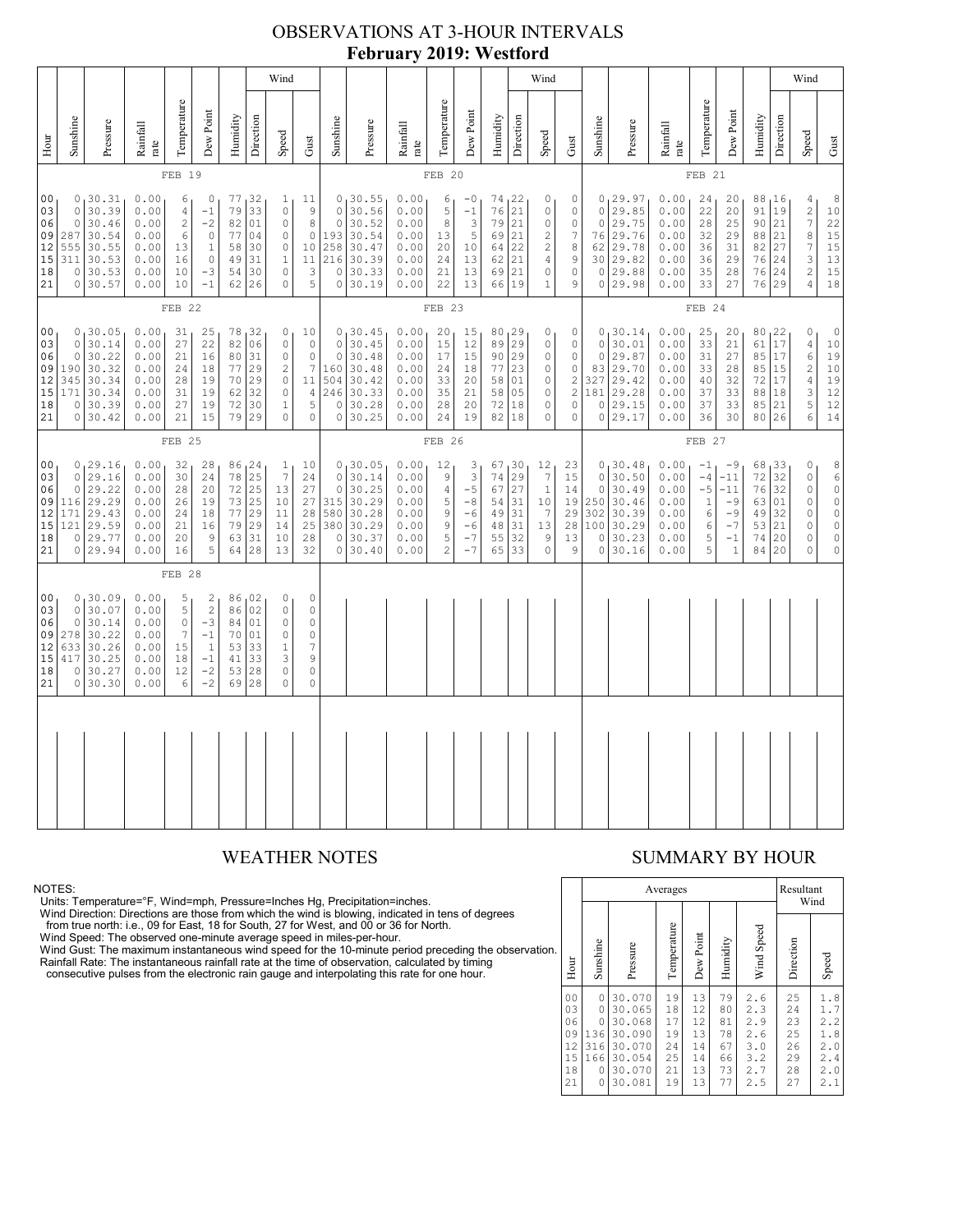### OBSERVATIONS AT 3-HOUR INTERVALS **February 2019: Westford**

|                                                                                                                                                                                                                                                                                                                                                                                                                                                                                                                                                                                                                                                                                      | Wind                                                          |                                                                           |                                                              |                                                                  |                                                                    |                                                               |                                                                         |                                                                                           |                                                                                                |                                                           |                                                                           |                                                              |                                                                                                                   |                                                                                             | Wind                                             |                                                                                                 |                                                                                  |                                                                                              |                                              |                                                                                        |                                                              |                                                                                                                 |                                                                 | Wind                                             |                                              |                                                                                          |                                                                                                                   |
|--------------------------------------------------------------------------------------------------------------------------------------------------------------------------------------------------------------------------------------------------------------------------------------------------------------------------------------------------------------------------------------------------------------------------------------------------------------------------------------------------------------------------------------------------------------------------------------------------------------------------------------------------------------------------------------|---------------------------------------------------------------|---------------------------------------------------------------------------|--------------------------------------------------------------|------------------------------------------------------------------|--------------------------------------------------------------------|---------------------------------------------------------------|-------------------------------------------------------------------------|-------------------------------------------------------------------------------------------|------------------------------------------------------------------------------------------------|-----------------------------------------------------------|---------------------------------------------------------------------------|--------------------------------------------------------------|-------------------------------------------------------------------------------------------------------------------|---------------------------------------------------------------------------------------------|--------------------------------------------------|-------------------------------------------------------------------------------------------------|----------------------------------------------------------------------------------|----------------------------------------------------------------------------------------------|----------------------------------------------|----------------------------------------------------------------------------------------|--------------------------------------------------------------|-----------------------------------------------------------------------------------------------------------------|-----------------------------------------------------------------|--------------------------------------------------|----------------------------------------------|------------------------------------------------------------------------------------------|-------------------------------------------------------------------------------------------------------------------|
| Hour                                                                                                                                                                                                                                                                                                                                                                                                                                                                                                                                                                                                                                                                                 | Sunshine                                                      | Pressure                                                                  | Rainfall<br>rate                                             | Temperature                                                      | Dew Point                                                          | Humidity                                                      | Direction                                                               | Speed                                                                                     | Gust                                                                                           | Sunshine                                                  | Pressure                                                                  | Rainfall<br>rate                                             | Temperature                                                                                                       | Dew Point                                                                                   | Humidity                                         | Direction                                                                                       | Speed                                                                            | Gust                                                                                         | Sunshine                                     | Pressure                                                                               | Rainfall<br>rate                                             | Temperature                                                                                                     | Dew Point                                                       | Humidity                                         | Direction                                    | Speed                                                                                    | $_{\rm Gust}$                                                                                                     |
|                                                                                                                                                                                                                                                                                                                                                                                                                                                                                                                                                                                                                                                                                      |                                                               |                                                                           |                                                              | FEB 19                                                           |                                                                    |                                                               |                                                                         |                                                                                           |                                                                                                |                                                           |                                                                           |                                                              | FEB 20                                                                                                            |                                                                                             |                                                  |                                                                                                 |                                                                                  |                                                                                              | FEB 21                                       |                                                                                        |                                                              |                                                                                                                 |                                                                 |                                                  |                                              |                                                                                          |                                                                                                                   |
| 00<br>0, 30.31<br>0.00<br>77 32<br>11<br>6<br>0<br>$\mathbf{1}$<br>79<br>33<br>$\mathsf{O}\xspace$<br>30.39<br>0.00<br>$\circ$<br>03<br>$\overline{4}$<br>$-1$<br>$\mathsf 9$<br>$\circ$<br>30.46<br>0.00<br>$\sqrt{2}$<br>$-2$<br>82<br>01<br>$^{\rm 8}$<br>06<br>$\circ$<br>30.54<br>0.00<br>$\mathbb O$<br>77<br>04<br>09<br>287<br>6<br>$\circ$<br>$\circ$<br>0.00<br>12<br>555<br>30.55<br>13<br>$1\,$<br>58<br>30<br>$\circ$<br>10<br>$\mathbb O$<br>49<br>31<br>15<br>311<br>30.53<br>0.00<br>16<br>$\mathbf{1}$<br>11<br>0.00<br>$-3$<br>30<br>$\circ$<br>3<br>18<br>$\circ$<br>30.53<br>10<br>54<br>30.57<br>$-1$<br>26<br>$\mathbf{0}$<br>5<br>21<br>0<br>0.00<br>10<br>62 |                                                               |                                                                           |                                                              |                                                                  |                                                                    | $\circ$<br>$\circ$<br>193<br>258<br>216<br>$\circ$<br>$\circ$ | 0, 30.55<br>30.56<br>30.52<br>30.54<br>30.47<br>30.39<br>30.33<br>30.19 | 0.00<br>0.00<br>0.00<br>0.00<br>0.00<br>0.00<br>0.00<br>0.00                              | 6<br>5<br>8<br>13<br>20<br>24<br>21<br>22                                                      | $-0$<br>$-1$<br>$\mathbf{3}$<br>5<br>10<br>13<br>13<br>13 | 74, 22<br>76<br>79<br>69<br>64<br>62<br>69<br>66                          | 21<br>21<br>21<br>22<br>21<br> 21<br>19                      | 0<br>$\mathbb O$<br>$\mathbb O$<br>$\sqrt{2}$<br>$\overline{\mathbf{c}}$<br>$\sqrt{4}$<br>$\circ$<br>$\mathbf{1}$ | 0<br>$\mathbb O$<br>$\circ$<br>$\overline{7}$<br>$\,8\,$<br>$\mathsf 9$<br>$\mathbb O$<br>9 | $\circ$<br>62                                    | 0 <sub>1</sub> 29.97<br>29.85<br>0 29.75<br>76 29.76<br>29.78<br>30 29.82<br>0 29.88<br>0 29.98 | 0.00<br>0.00<br>0.00<br>0.00<br>0.00<br>0.00<br>0.00<br>0.00                     | 24<br>22<br>28<br>32<br>36<br>36<br>35<br>33                                                 | 20<br>20<br>25<br>29<br>31<br>29<br>28<br>27 | 88,16<br>91<br>90<br>88<br>82<br>76<br>76<br>76 29                                     | 19<br>21<br>21<br>27<br>24<br>24                             | $\overline{4}$<br>$\sqrt{2}$<br>$\tau$<br>8<br>$\boldsymbol{7}$<br>$\ensuremath{\mathsf{3}}$<br>$\sqrt{2}$<br>4 | 8<br>$10$<br>22<br>15<br>15<br>13<br>15<br>18                   |                                                  |                                              |                                                                                          |                                                                                                                   |
|                                                                                                                                                                                                                                                                                                                                                                                                                                                                                                                                                                                                                                                                                      | FEB 22                                                        |                                                                           |                                                              |                                                                  |                                                                    |                                                               |                                                                         |                                                                                           |                                                                                                | FEB 23                                                    |                                                                           |                                                              |                                                                                                                   |                                                                                             |                                                  |                                                                                                 |                                                                                  |                                                                                              | FEB 24                                       |                                                                                        |                                                              |                                                                                                                 |                                                                 |                                                  |                                              |                                                                                          |                                                                                                                   |
| 00<br>03<br>06<br>09<br>12<br>15<br>18<br>21                                                                                                                                                                                                                                                                                                                                                                                                                                                                                                                                                                                                                                         | $\circ$<br>$\circ$<br>190<br>345<br>171<br>$\circ$<br>$\circ$ | 0, 30.05<br>30.14<br>30.22<br>30.32<br>30.34<br>30.34<br>30.39<br>30.42   | 0.00<br>0.00<br>0.00<br>0.00<br>0.00<br>0.00<br>0.00<br>0.00 | 31<br>27<br>21<br>24<br>28<br>31<br>27<br>21                     | 25<br>22<br>16<br>18<br>19<br>19<br>19<br>15                       | 78<br>82<br>80<br>77<br>70<br>62<br>72<br>79                  | 32<br>06<br>31<br>29<br>29<br>32<br>30<br>29                            | 0<br>$\mathbb O$<br>$\circ$<br>$\overline{2}$<br>$\circ$<br>0<br>$\mathbf{1}$<br>$\Omega$ | 10<br>$\circ$<br>$\circ$<br>7<br>11<br>4<br>5<br>$\Omega$                                      | $\circ$<br>$\circ$<br>160<br>504<br>246<br>$\circ$        | 0, 30.45<br>30.45<br>30.48<br>30.48<br>30.42<br>30.33<br>30.28<br>0 30.25 | 0.00<br>0.00<br>0.00<br>0.00<br>0.00<br>0.00<br>0.00<br>0.00 | 20<br>15<br>17<br>24<br>33<br>35<br>28<br>24                                                                      | 15<br>12<br>15<br>18<br>20<br>21<br>20<br>19                                                | 80, 29<br>89<br>90<br>77<br>58<br>58<br>72<br>82 | 29<br>29<br>23<br>01<br>05<br>18<br>18                                                          | 0<br>$\mathbb O$<br>0<br>$\mathbb O$<br>$\mathbb O$<br>$\circ$<br>0<br>0         | 0<br>$\circ$<br>$\circ$<br>$\circ$<br>$\sqrt{2}$<br>$\overline{2}$<br>$\circ$<br>$\mathbb O$ | $\circ$<br>$\circ$                           | 0, 30.14<br>30.01<br>29.87<br>83 29.70<br>327 29.42<br>181 29.28<br>0 29.15<br>0 29.17 | 0.00<br>0.00<br>0.00<br>0.00<br>0.00<br>0.00<br>0.00<br>0.00 | 25<br>33<br>31<br>33<br>40<br>37<br>37<br>36                                                                    | 20<br>21<br>27<br>28<br>32<br>33<br>33<br>30                    | 80, 22<br>61<br>85<br>85<br>72<br>88<br>85<br>80 | 17<br>17<br>15<br>17<br>18<br>21<br>26       | $\circ$<br>4<br>6<br>$\sqrt{2}$<br>$\sqrt{4}$<br>3<br>$\mathbf 5$<br>6                   | $\begin{array}{c} 0 \\ 10 \end{array}$<br>19<br>$10$<br>19<br>12<br>12<br>14                                      |
|                                                                                                                                                                                                                                                                                                                                                                                                                                                                                                                                                                                                                                                                                      |                                                               |                                                                           |                                                              | FEB 25                                                           |                                                                    |                                                               |                                                                         |                                                                                           |                                                                                                |                                                           | FEB 26                                                                    |                                                              |                                                                                                                   |                                                                                             |                                                  |                                                                                                 |                                                                                  |                                                                                              |                                              |                                                                                        | FEB 27                                                       |                                                                                                                 |                                                                 |                                                  |                                              |                                                                                          |                                                                                                                   |
| 00<br>03<br>06<br>09<br>12<br>15<br>18<br>21                                                                                                                                                                                                                                                                                                                                                                                                                                                                                                                                                                                                                                         | $\circ$<br>0<br>116<br>171<br>121<br>$\circ$                  | 0, 29.16<br>29.16<br>29.22<br>29.29<br>29.43<br>29.59<br>29.77<br>0 29.94 | 0.00<br>0.00<br>0.00<br>0.00<br>0.00<br>0.00<br>0.00<br>0.00 | 32<br>30<br>28<br>26<br>24<br>21<br>20<br>16                     | 28<br>24<br>20<br>19<br>18<br>16<br>9<br>5                         | 78<br>72<br>73<br>77<br>79<br>63<br>64                        | 86 24<br>25<br>$\overline{25}$<br>25<br>29<br>29<br>31<br>28            | $\mathbf{1}$<br>$\overline{7}$<br>13<br>10<br>11<br>14<br>10<br>13                        | 10<br>24<br>27<br>27<br>28<br>25<br>28<br>32                                                   | $\circ$<br>$\circ$<br>315<br>580<br>380<br>0<br>$\circ$   | 0, 30.05<br>30.14<br>30.25<br>30.29<br>30.28<br>30.29<br>30.37<br>30.40   | 0.00<br>0.00<br>0.00<br>0.00<br>0.00<br>0.00<br>0.00<br>0.00 | 12<br>9<br>$\overline{4}$<br>5<br>9<br>$\mathsf 9$<br>5<br>$\overline{c}$                                         | 3<br>$\ensuremath{\mathsf{3}}$<br>$-5$<br>$-8$<br>$-6$<br>$-6$<br>$-7$<br>$-7$              | 67<br>74<br>67<br>54<br>49<br>48<br>55<br>65     | 30<br>29<br>27<br>31<br>31<br>31<br>32<br>33                                                    | 12<br>$\boldsymbol{7}$<br>$\,1\,$<br>10<br>7<br>13<br>$\mathsf 9$<br>$\mathbf 0$ | 23<br>15<br>14<br>19<br>29<br>28<br>13<br>9                                                  | $\circ$<br>$\circ$<br>250<br>302<br>100<br>0 | 0, 30.48<br>30.50<br>30.49<br>30.46<br>30.39<br>30.29<br>30.23<br>0 30.16              | 0.00<br>0.00<br>0.00<br>0.00<br>0.00<br>0.00<br>0.00<br>0.00 | $-1$<br>$-4$<br>$-5$<br>$\mathbf{1}$<br>6<br>6<br>5<br>5                                                        | $-9$<br>$-11$<br>$-11$<br>$-9$<br>$-9$<br>$-7$<br>$-1$<br>$1\,$ | 68<br>72<br>76<br>63<br>49<br>53<br>74<br>84     | 33<br>32<br>32<br>01<br>32<br>21<br>20<br>20 | $\circ$<br>$\circ$<br>$\circ$<br>$\mathbb O$<br>$\circ$<br>$\circ$<br>$\circ$<br>$\circ$ | $\begin{matrix} 8 \\ 6 \end{matrix}$<br>$\rm _0$<br>$\mathbb O$<br>$\circ$<br>$\bar{0}$<br>$\mathbb O$<br>$\circ$ |
|                                                                                                                                                                                                                                                                                                                                                                                                                                                                                                                                                                                                                                                                                      |                                                               |                                                                           |                                                              | FEB <sub>28</sub>                                                |                                                                    |                                                               |                                                                         |                                                                                           |                                                                                                |                                                           |                                                                           |                                                              |                                                                                                                   |                                                                                             |                                                  |                                                                                                 |                                                                                  |                                                                                              |                                              |                                                                                        |                                                              |                                                                                                                 |                                                                 |                                                  |                                              |                                                                                          |                                                                                                                   |
| 00<br>03<br>06<br>09<br>12<br>15<br>18<br>21                                                                                                                                                                                                                                                                                                                                                                                                                                                                                                                                                                                                                                         | $\circ$<br>0<br>278<br>633<br>417<br>0<br>0                   | 0, 30.09<br>30.07<br>30.14<br>30.22<br>30.26<br>30.25<br>30.27<br>30.30   | 0.00<br>0.00<br>0.00<br>0.00<br>0.00<br>0.00<br>0.00<br>0.00 | 5<br>5<br>$\mathbb O$<br>$\boldsymbol{7}$<br>15<br>18<br>12<br>6 | 2<br>$\sqrt{2}$<br>$-3$<br>$-1$<br>$\,1\,$<br>$-1$<br>$-2$<br>$-2$ | 86<br>84<br>70<br>53<br>41<br>53<br>69                        | 86 02<br>02<br>01<br>01<br>33<br>33<br>28<br>28                         | 0<br>$\circ$<br>$\circ$<br>$\mathbb O$<br>$\mathbf{1}$<br>3<br>$\circ$<br>$\circ$         | 0<br>$\mathbb O$<br>$\mathbb O$<br>0<br>$\overline{7}$<br>$\mathfrak{g}$<br>$\circ$<br>$\circ$ |                                                           |                                                                           |                                                              |                                                                                                                   |                                                                                             |                                                  |                                                                                                 |                                                                                  |                                                                                              |                                              |                                                                                        |                                                              |                                                                                                                 |                                                                 |                                                  |                                              |                                                                                          |                                                                                                                   |
|                                                                                                                                                                                                                                                                                                                                                                                                                                                                                                                                                                                                                                                                                      |                                                               |                                                                           |                                                              |                                                                  |                                                                    |                                                               |                                                                         |                                                                                           |                                                                                                |                                                           |                                                                           |                                                              |                                                                                                                   |                                                                                             |                                                  |                                                                                                 |                                                                                  |                                                                                              |                                              |                                                                                        |                                                              |                                                                                                                 |                                                                 |                                                  |                                              |                                                                                          |                                                                                                                   |
|                                                                                                                                                                                                                                                                                                                                                                                                                                                                                                                                                                                                                                                                                      |                                                               |                                                                           |                                                              |                                                                  |                                                                    |                                                               |                                                                         |                                                                                           |                                                                                                |                                                           |                                                                           |                                                              |                                                                                                                   |                                                                                             |                                                  |                                                                                                 |                                                                                  |                                                                                              |                                              |                                                                                        |                                                              |                                                                                                                 |                                                                 |                                                  |                                              |                                                                                          |                                                                                                                   |

NOTES:<br>Units: Temperature=°F, Wind=mph, Pressure=Inches Hg, Precipitation=inches.<br>Units: Temperature=°F, Wind=mph, Pressure=Inches Hg, Precipitation=inches.<br>
Yind Direction: Directions are those from which the wind is blow

## WEATHER NOTES SUMMARY BY HOUR

|    |                                                          |                                            |                                                                              | Averages                                     |                                              |                                              |                                                      | Resultant<br>Wind                            |                                                      |  |  |
|----|----------------------------------------------------------|--------------------------------------------|------------------------------------------------------------------------------|----------------------------------------------|----------------------------------------------|----------------------------------------------|------------------------------------------------------|----------------------------------------------|------------------------------------------------------|--|--|
| ì. | Hour                                                     | Sunshine                                   | Pressure                                                                     | Temperature                                  | Dew Point                                    | Humidity                                     | Wind Speed                                           | Direction                                    | Speed                                                |  |  |
|    | 0 <sub>0</sub><br>03<br>06<br>09<br>12<br>15<br>18<br>21 | 0<br>0<br>0<br>136<br>316<br>166<br>0<br>0 | 30.070<br>30.065<br>30.068<br>30.090<br>30.070<br>30.054<br>30.070<br>30.081 | 19<br>18<br>17<br>19<br>24<br>25<br>21<br>19 | 13<br>12<br>12<br>13<br>14<br>14<br>13<br>13 | 79<br>80<br>81<br>78<br>67<br>66<br>73<br>77 | 2.6<br>2.3<br>2.9<br>2.6<br>3.0<br>3.2<br>2.7<br>2.5 | 25<br>24<br>23<br>25<br>26<br>29<br>28<br>27 | 1.8<br>1.7<br>2.2<br>1.8<br>2.0<br>2.4<br>2.0<br>2.1 |  |  |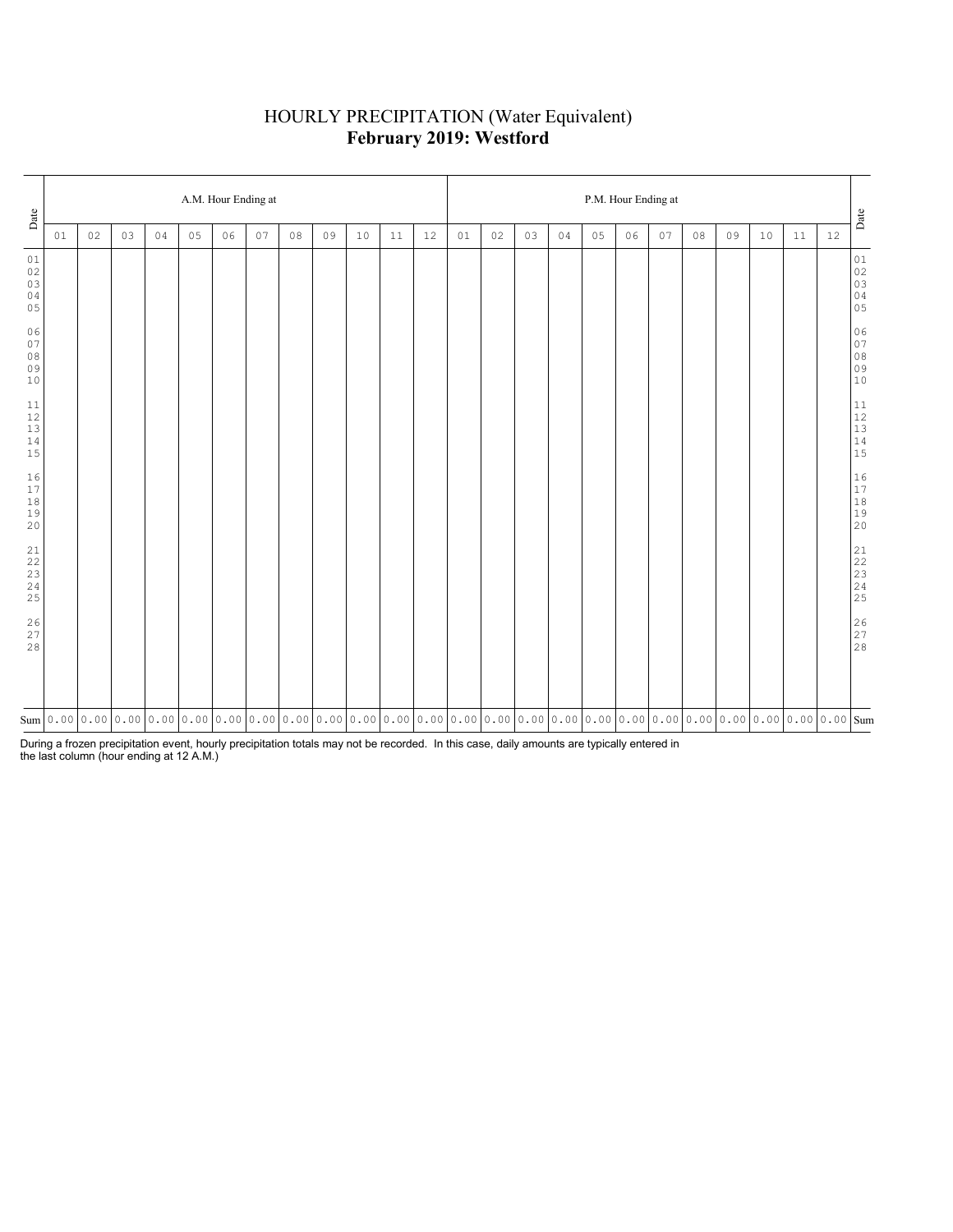## HOURLY PRECIPITATION (Water Equivalent) **February 2019: Westford**

| Date                                                               | A.M. Hour Ending at |    |    |    |    |    |    |    |                                                                                                                                                                                                                                                                                                                                                 |    |    |    |    |    | P.M. Hour Ending at |    |    |    |    |    |    |    |    |    |                                                           |  |  |  |
|--------------------------------------------------------------------|---------------------|----|----|----|----|----|----|----|-------------------------------------------------------------------------------------------------------------------------------------------------------------------------------------------------------------------------------------------------------------------------------------------------------------------------------------------------|----|----|----|----|----|---------------------|----|----|----|----|----|----|----|----|----|-----------------------------------------------------------|--|--|--|
|                                                                    | 01                  | 02 | 03 | 04 | 05 | 06 | 07 | 08 | 09                                                                                                                                                                                                                                                                                                                                              | 10 | 11 | 12 | 01 | 02 | 03                  | 04 | 05 | 06 | 07 | 08 | 09 | 10 | 11 | 12 | $_{\mbox{\small \texttt{Date}}}$                          |  |  |  |
| 01<br>$02\,$<br>03<br>04<br>05                                     |                     |    |    |    |    |    |    |    |                                                                                                                                                                                                                                                                                                                                                 |    |    |    |    |    |                     |    |    |    |    |    |    |    |    |    | 01<br>02<br>03<br>03<br>04<br>05                          |  |  |  |
| 06<br>07<br>$0\,8$<br>09<br>$10$                                   |                     |    |    |    |    |    |    |    |                                                                                                                                                                                                                                                                                                                                                 |    |    |    |    |    |                     |    |    |    |    |    |    |    |    |    | $0\,6$                                                    |  |  |  |
| $11\,$<br>$12$<br>$13\,$<br>14<br>15                               |                     |    |    |    |    |    |    |    |                                                                                                                                                                                                                                                                                                                                                 |    |    |    |    |    |                     |    |    |    |    |    |    |    |    |    | $\begin{array}{c} 11 \\ 12 \\ 13 \\ 14 \\ 15 \end{array}$ |  |  |  |
| 16<br>17<br>$1\,8$<br>19<br>20                                     |                     |    |    |    |    |    |    |    |                                                                                                                                                                                                                                                                                                                                                 |    |    |    |    |    |                     |    |    |    |    |    |    |    |    |    | $\begin{array}{c} 16 \\ 17 \\ 18 \\ 19 \\ 20 \end{array}$ |  |  |  |
| 21<br>$2\sqrt{2}$<br>$\begin{array}{c} 23 \\ 24 \end{array}$<br>25 |                     |    |    |    |    |    |    |    |                                                                                                                                                                                                                                                                                                                                                 |    |    |    |    |    |                     |    |    |    |    |    |    |    |    |    |                                                           |  |  |  |
| 26<br>27<br>28                                                     |                     |    |    |    |    |    |    |    |                                                                                                                                                                                                                                                                                                                                                 |    |    |    |    |    |                     |    |    |    |    |    |    |    |    |    | $\begin{array}{c} 26 \\ 27 \\ 28 \end{array}$             |  |  |  |
|                                                                    |                     |    |    |    |    |    |    |    | $\text{Sum}[\text{0.00}[\text{0.00}[\text{0.00}[\text{0.00}[\text{0.00}[\text{0.00}[\text{0.00}[\text{0.00}[\text{0.00}[\text{0.00}[\text{0.00}[\text{0.00}[\text{0.00}[\text{0.00}[\text{0.00}[\text{0.00}[\text{0.00}[\text{0.00}[\text{0.00}[\text{0.00}[\text{0.00}[\text{0.00}[\text{0.00}[\text{0.00}[\text{0.00}[\text{0.00}[\text{0.00$ |    |    |    |    |    |                     |    |    |    |    |    |    |    |    |    |                                                           |  |  |  |

During a frozen precipitation event, hourly precipitation totals may not be recorded. In this case, daily amounts are typically entered in the last column (hour ending at 12 A.M.)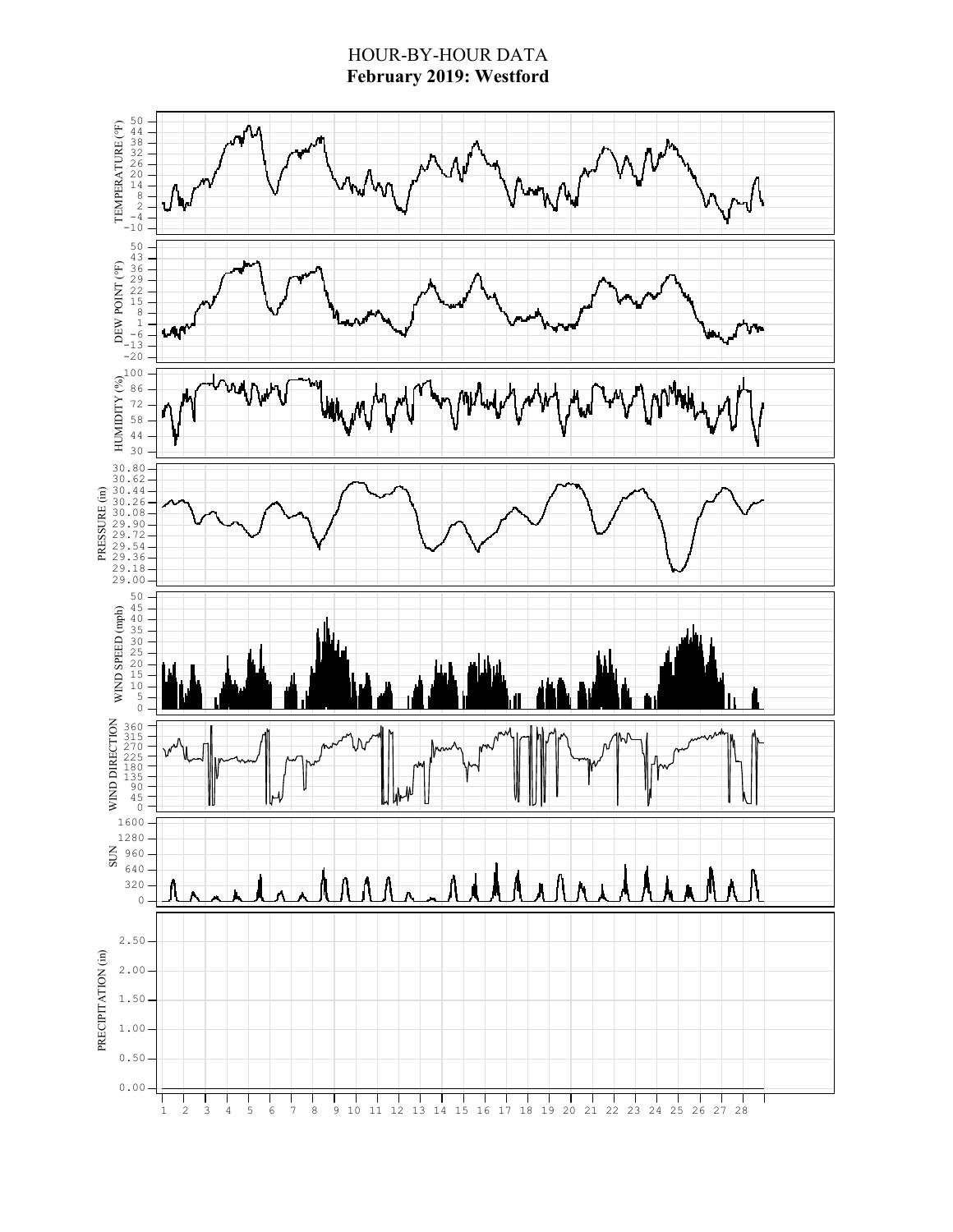## HOUR-BY-HOUR DATA **February 2019: Westford**